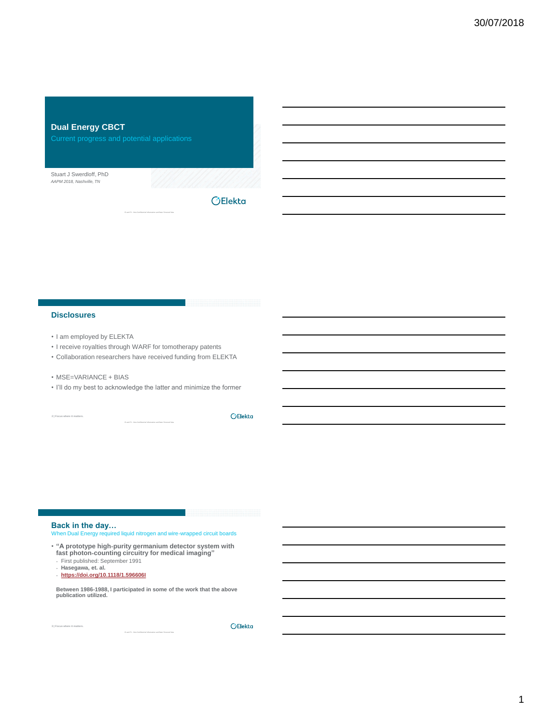

# **Disclosures**

- I am employed by ELEKTA
- I receive royalties through WARF for tomotherapy patents
- Collaboration researchers have received funding from ELEKTA
- MSE=VARIANCE + BIAS
- I'll do my best to acknowledge the latter and minimize the former

**2 | Focus where it matters.**

OElekta

# **Back in the day…**

When Dual Energy required liquid nitrogen and wire-wrapped circuit boards

ı

• **"A prototype high**‐**purity germanium detector system with fast photon**‐**counting circuitry for medical imaging"**

- First published: September 1991
- **Hasegawa, et. al.**
- **<https://doi.org/10.1118/1.596606I>**

**Between 1986-1988, I participated in some of the work that the above publication utilized.**

**3 | Focus where it matters.**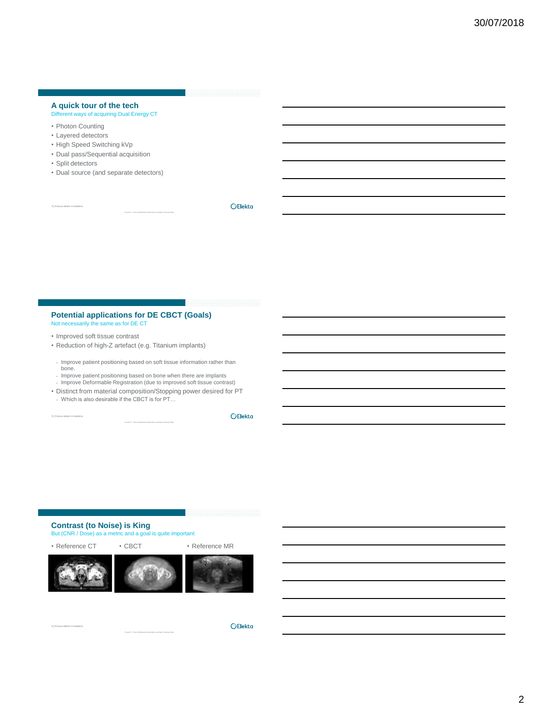# **A quick tour of the tech**

# Different ways of acquiring Dual Energy CT

- Photon Counting
- Layered detectors
- High Speed Switching kVp
- Dual pass/Sequential acquisition
- Split detectors

**4 | Focus where it matters.**

• Dual source (and separate detectors)

**OElekta** 

#### **Potential applications for DE CBCT (Goals)** Not necessarily the same as for DE CT

- Improved soft tissue contrast
- Reduction of high-Z artefact (e.g. Titanium implants)
- Improve patient positioning based on soft tissue information rather than bone.
- Improve patient positioning based on bone when there are implants
- Improve Deformable Registration (due to improved soft tissue contrast) • Distinct from material composition/Stopping power desired for PT
- Which is also desirable if the CBCT is for PT…

**5 | Focus where it matters.**

OElekta

# **Contrast (to Noise) is King**

But (CNR / Dose) as a metric and a goal is quite important

• Reference CT • CBCT • Peference MR



۰

**6 | Focus where it matters.**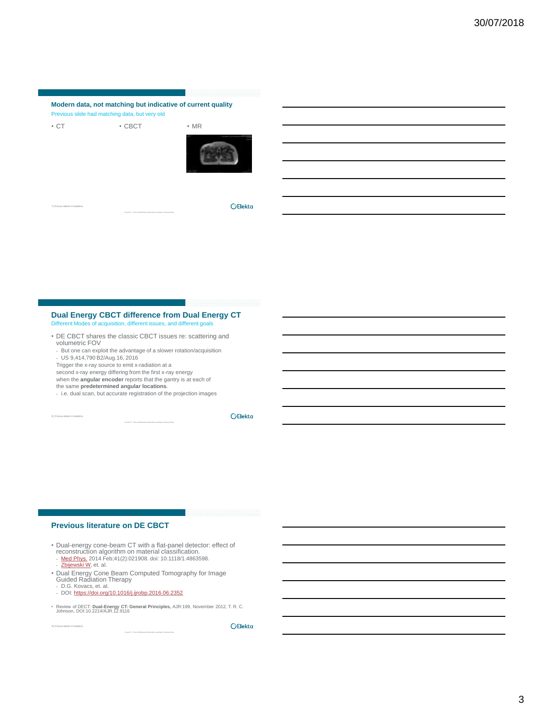# **Modern data, not matching but indicative of current quality** Previous slide had matching data, but very old

• CT • CBCT • MR



**7 | Focus where it matters.**

**OElekta** 

#### **Dual Energy CBCT difference from Dual Energy CT** Different Modes of acquisition, different issues, and different goals n. different issues, and different issues, and different issues.

- DE CBCT shares the classic CBCT issues re: scattering and volumetric FOV
- But one can exploit the advantage of a slower rotation/acquisition - US 9,414,790 B2/Aug.16, 2016
- Trigger the x-ray source to emit x-radiation at a
- second x-ray energy differing from the first x-ray energy
- when the **angular encoder** reports that the gantry is at each of the same **predetermined angular locations**.
- i.e. dual scan, but accurate registration of the projection images

**8 | Focus where it matters.**

**OElekta** 

# **Previous literature on DE CBCT**

- Dual-energy cone-beam CT with a flat-panel detector: effect of<br>reconstruction algorithm on material classification.<br>- <u>[Med Phys.](https://www.ncbi.nlm.nih.gov/pubmed/24506629)</u> 2014 Feb;41(2):021908. doi: 10.1118/1.4863598.<br>- [Zbijewski](https://www.ncbi.nlm.nih.gov/pubmed/?term=Zbijewski W[Author]&cauthor=true&cauthor_uid=24506629) [W](https://www.ncbi.nlm.nih.gov/pubmed/?term=Zbijewski W[Author]&cauthor=true&cauthor_uid=24506629), et. al.
	-
- Dual Energy Cone Beam Computed Tomography for Image Guided Radiation Therapy
- D.G. Kovacs, et. al.

**9 | Focus where it matters.**

- DOI: <https://doi.org/10.1016/j.ijrobp.2016.06.2352>

• Review of DECT: **Dual-Energy CT: General Principles,** AJR:199, November 2012, T. R. C. Johnson, DOI:10.2214/AJR.12.9116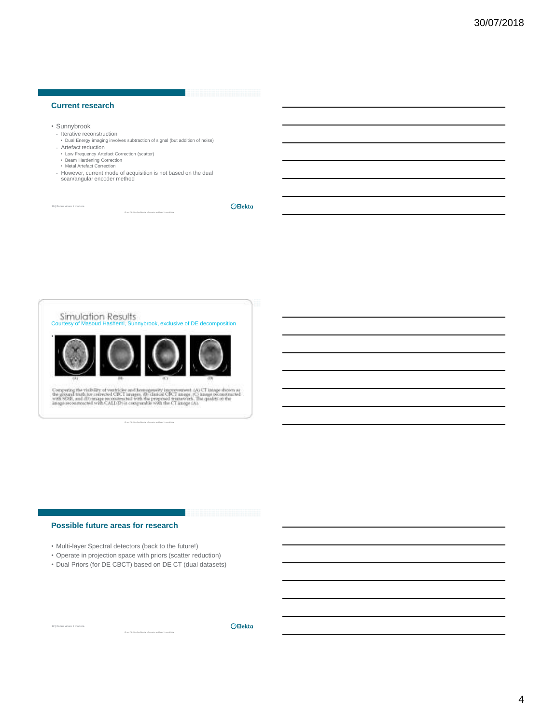# **Current research**

- Sunnybrook
- Iterative reconstruction
- Dual Energy imaging involves subtraction of signal (but addition of noise) - Artefact reduction
- Low Frequency Artefact Correction (scatter) Beam Hardening Correction
- Metal Artefact Correction
- 
- However, current mode of acquisition is not based on the dual scan/angular encoder method

**10 | Focus where it matters.**

**OElekta** 



Comparing the visibility of vestiticles and homogeneity improvement:  $(\Lambda)$  CT image shown as the ground truth converted CRCT images, this change in with SORT and the set of the set of the set of the set of the set of the

# **Possible future areas for research**

**12 | Focus where it matters.**

- Multi-layer Spectral detectors (back to the future!)
- Operate in projection space with priors (scatter reduction)
- Dual Priors (for DE CBCT) based on DE CT (dual datasets)